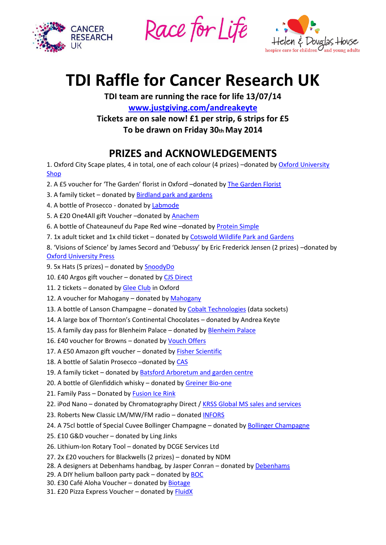





## **TDI Raffle for Cancer Research UK**

**TDI team are running the race for life 13/07/14**

**<www.justgiving.com/andreakeyte>**

**Tickets are on sale now! £1 per strip, 6 strips for £5 To be drawn on Friday 30th May 2014**

## **PRIZES and ACKNOWLEDGEMENTS**

1. Oxford City Scape plates, 4 in total, one of each colour (4 prizes) –donated b[y Oxford University](http://www.oushop.com/)  [Shop](http://www.oushop.com/)

2. A £5 voucher for 'The Garden' florist in Oxford –donated by [The Garden Florist](http://www.thegardenoxford.co.uk/)

3. A family ticket – donated by [Birdland park and gardens](http://www.birdland.co.uk/)

4. A bottle of Prosecco - donated b[y Labmode](http://www.labmode.co.uk/)

5. A £20 One4All gift Voucher - donated by [Anachem](http://www.anachem.co.uk/)

6. A bottle of Chateauneuf du Pape Red wine –donated by [Protein Simple](http://www.proteinsimple.com/)

7. 1x adult ticket and 1x child ticket – donated b[y Cotswold Wildlife Park and Gardens](http://www.cotswoldwildlifepark.co.uk/)

8. 'Visions of Science' by James Secord and 'Debussy' by Eric Frederick Jensen (2 prizes) –donated by [Oxford University Press](http://ukcatalogue.oup.com/)

9. 5x Hats (5 prizes) – donated by [SnoodyDo](http://www.snoodydo.com/)

10. £40 Argos gift voucher – donated by [CJS Direct](http://www.cjsdirect.co.uk/)

11. 2 tickets – donated b[y Glee Club](http://www.glee.co.uk/oxford) in Oxford

12. A voucher for Mahogany - donated b[y Mahogany](http://www.mahoganyhair.co.uk/)

13. A bottle of Lanson Champagne – donated b[y Cobalt Technologies](http://www.ctt.co.uk/) (data sockets)

14. A large box of Thornton's Continental Chocolates – donated by Andrea Keyte

15. A family day pass for Blenheim Palace – donated by [Blenheim Palace](http://www.blenheimpalace.com/)

16. £40 voucher for Browns – donated by [Vouch Offers](http://www.vouchoffers.co.uk/about_us.html)

17. A £50 Amazon gift voucher – donated b[y Fisher Scientific](http://www.fisher.co.uk/index.php/en/all-promotions)

18. A bottle of Salatin Prosecco - donated by [CAS](http://www.containedairsolutions.co.uk/)

19. A family ticket – donated by [Batsford Arboretum and garden centre](http://www.batsarb.co.uk/)

20. A bottle of Glenfiddich whisky – donated by [Greiner Bio-one](http://www.greinerbioone.com/en/england/start/)

21. Family Pass – Donated by [Fusion Ice Rink](http://www.fusion-lifestyle.com/centres/Oxford_Ice_Rink)

22. iPod Nano – donated by Chromatography Direct [/ KRSS Global MS sales and services](http://www.krssltd.com/)

23. Roberts New Classic LM/MW/FM radio - donated [INFORS](http://www.infors-ht.com/index.php/en/)

24. A 75cl bottle of Special Cuvee Bollinger Champagne – donated by [Bollinger Champagne](http://www.champagne-bollinger.com/fr_FR)

25. £10 G&D voucher – donated by Ling Jinks

26. Lithium-Ion Rotary Tool – donated by DCGE Services Ltd

27. 2x £20 vouchers for Blackwells (2 prizes) – donated by NDM

28. A designers at Debenhams handbag, by Jasper Conran – donated by [Debenhams](http://www.debenhams.com/)

29. A DIY helium balloon party pack – donated b[y BOC](http://www.boconline.co.uk/en/index.html)

30. £30 Café Aloha Voucher – donated b[y Biotage](http://www.biotage.com/)

31. £20 Pizza Express Voucher – donated by [FluidX](http://www.fluidx.eu/)